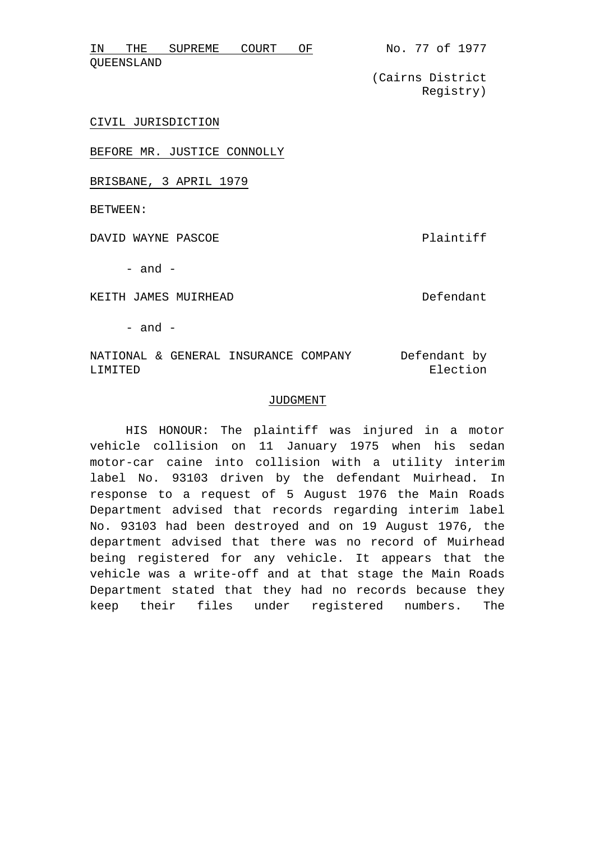| ΤN         | ㅠㅂㅠ | SUPREME | COURT |  |
|------------|-----|---------|-------|--|
| QUEENSLAND |     |         |       |  |

(Cairns District Registry)

CIVIL JURISDICTION

BEFORE MR. JUSTICE CONNOLLY

BRISBANE, 3 APRIL 1979

BETWEEN:

DAVID WAYNE PASCOE **Plaintiff** 

 $-$  and  $-$ 

KEITH JAMES MUIRHEAD DE DE DE DE LONGER DE LANDER DE LA DE LONGER DE LA DE LA DE LA DE LA DE LA DE LA DE LA DE

 $-$  and  $-$ 

NATIONAL & GENERAL INSURANCE COMPANY LIMITED Defendant by Election

## JUDGMENT

HIS HONOUR: The plaintiff was injured in a motor vehicle collision on 11 January 1975 when his sedan motor-car caine into collision with a utility interim label No. 93103 driven by the defendant Muirhead. In response to a request of 5 August 1976 the Main Roads Department advised that records regarding interim label No. 93103 had been destroyed and on 19 August 1976, the department advised that there was no record of Muirhead being registered for any vehicle. It appears that the vehicle was a write-off and at that stage the Main Roads Department stated that they had no records because they keep their files under registered numbers. The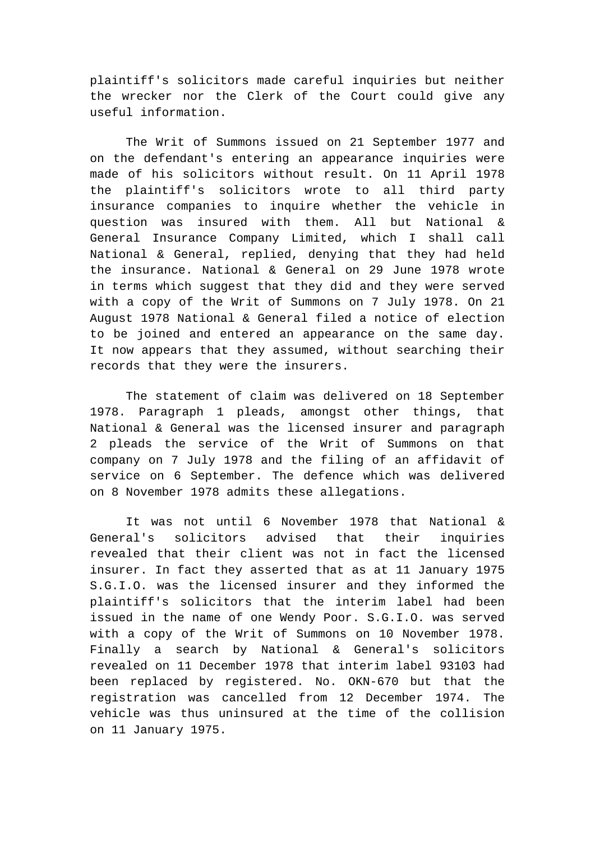plaintiff's solicitors made careful inquiries but neither the wrecker nor the Clerk of the Court could give any useful information.

The Writ of Summons issued on 21 September 1977 and on the defendant's entering an appearance inquiries were made of his solicitors without result. On 11 April 1978 the plaintiff's solicitors wrote to all third party insurance companies to inquire whether the vehicle in question was insured with them. All but National & General Insurance Company Limited, which I shall call National & General, replied, denying that they had held the insurance. National & General on 29 June 1978 wrote in terms which suggest that they did and they were served with a copy of the Writ of Summons on 7 July 1978. On 21 August 1978 National & General filed a notice of election to be joined and entered an appearance on the same day. It now appears that they assumed, without searching their records that they were the insurers.

The statement of claim was delivered on 18 September 1978. Paragraph 1 pleads, amongst other things, that National & General was the licensed insurer and paragraph 2 pleads the service of the Writ of Summons on that company on 7 July 1978 and the filing of an affidavit of service on 6 September. The defence which was delivered on 8 November 1978 admits these allegations.

It was not until 6 November 1978 that National & General's solicitors advised that their inquiries revealed that their client was not in fact the licensed insurer. In fact they asserted that as at 11 January 1975 S.G.I.O. was the licensed insurer and they informed the plaintiff's solicitors that the interim label had been issued in the name of one Wendy Poor. S.G.I.O. was served with a copy of the Writ of Summons on 10 November 1978. Finally a search by National & General's solicitors revealed on 11 December 1978 that interim label 93103 had been replaced by registered. No. OKN-670 but that the registration was cancelled from 12 December 1974. The vehicle was thus uninsured at the time of the collision on 11 January 1975.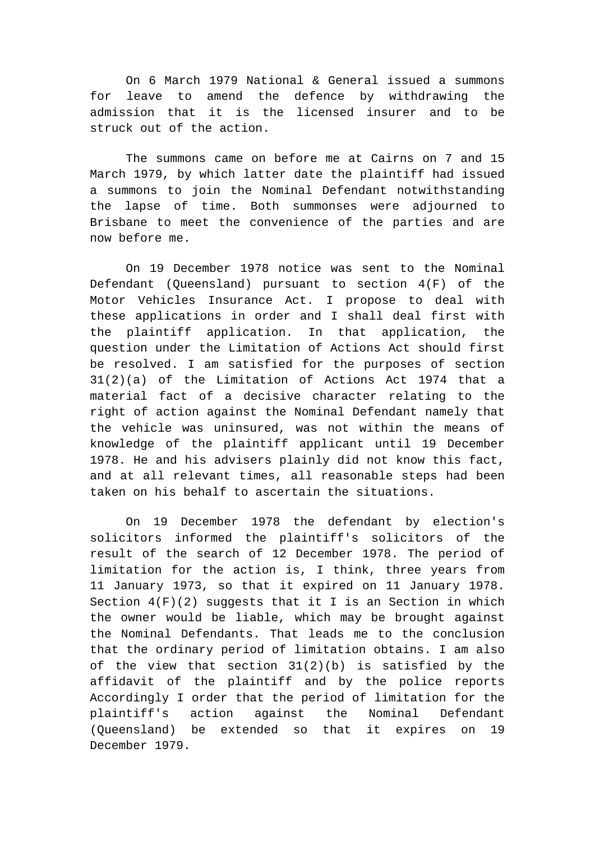On 6 March 1979 National & General issued a summons for leave to amend the defence by withdrawing the admission that it is the licensed insurer and to be struck out of the action.

The summons came on before me at Cairns on 7 and 15 March 1979, by which latter date the plaintiff had issued a summons to join the Nominal Defendant notwithstanding the lapse of time. Both summonses were adjourned to Brisbane to meet the convenience of the parties and are now before me.

On 19 December 1978 notice was sent to the Nominal Defendant (Queensland) pursuant to section 4(F) of the Motor Vehicles Insurance Act. I propose to deal with these applications in order and I shall deal first with the plaintiff application. In that application, the question under the Limitation of Actions Act should first be resolved. I am satisfied for the purposes of section 31(2)(a) of the Limitation of Actions Act 1974 that a material fact of a decisive character relating to the right of action against the Nominal Defendant namely that the vehicle was uninsured, was not within the means of knowledge of the plaintiff applicant until 19 December 1978. He and his advisers plainly did not know this fact, and at all relevant times, all reasonable steps had been taken on his behalf to ascertain the situations.

On 19 December 1978 the defendant by election's solicitors informed the plaintiff's solicitors of the result of the search of 12 December 1978. The period of limitation for the action is, I think, three years from 11 January 1973, so that it expired on 11 January 1978. Section  $4(F)(2)$  suggests that it I is an Section in which the owner would be liable, which may be brought against the Nominal Defendants. That leads me to the conclusion that the ordinary period of limitation obtains. I am also of the view that section 31(2)(b) is satisfied by the affidavit of the plaintiff and by the police reports Accordingly I order that the period of limitation for the plaintiff's action against the Nominal Defendant (Queensland) be extended so that it expires on 19 December 1979.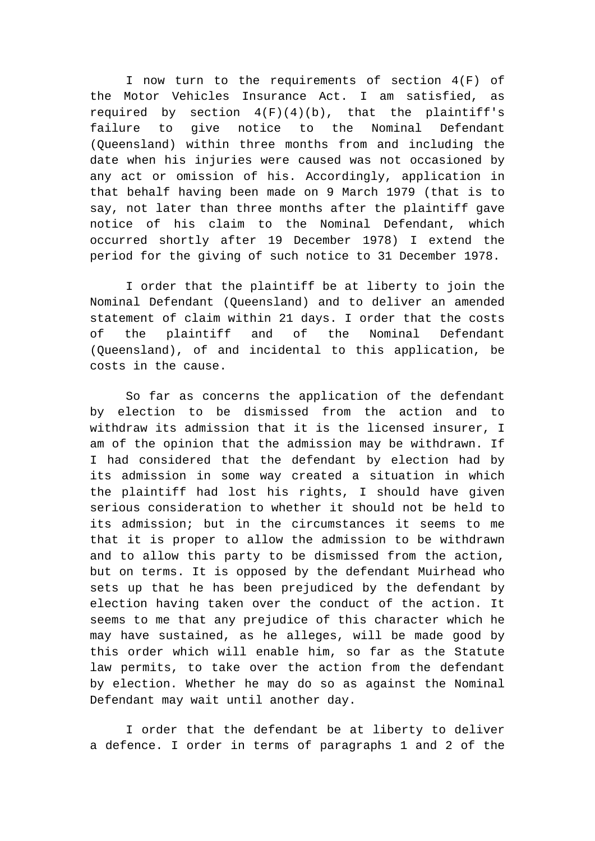I now turn to the requirements of section 4(F) of the Motor Vehicles Insurance Act. I am satisfied, as required by section  $4(F)(4)(b)$ , that the plaintiff's failure to give notice to the Nominal Defendant (Queensland) within three months from and including the date when his injuries were caused was not occasioned by any act or omission of his. Accordingly, application in that behalf having been made on 9 March 1979 (that is to say, not later than three months after the plaintiff gave notice of his claim to the Nominal Defendant, which occurred shortly after 19 December 1978) I extend the period for the giving of such notice to 31 December 1978.

I order that the plaintiff be at liberty to join the Nominal Defendant (Queensland) and to deliver an amended statement of claim within 21 days. I order that the costs of the plaintiff and of the Nominal Defendant (Queensland), of and incidental to this application, be costs in the cause.

So far as concerns the application of the defendant by election to be dismissed from the action and to withdraw its admission that it is the licensed insurer, I am of the opinion that the admission may be withdrawn. If I had considered that the defendant by election had by its admission in some way created a situation in which the plaintiff had lost his rights, I should have given serious consideration to whether it should not be held to its admission; but in the circumstances it seems to me that it is proper to allow the admission to be withdrawn and to allow this party to be dismissed from the action, but on terms. It is opposed by the defendant Muirhead who sets up that he has been prejudiced by the defendant by election having taken over the conduct of the action. It seems to me that any prejudice of this character which he may have sustained, as he alleges, will be made good by this order which will enable him, so far as the Statute law permits, to take over the action from the defendant by election. Whether he may do so as against the Nominal Defendant may wait until another day.

I order that the defendant be at liberty to deliver a defence. I order in terms of paragraphs 1 and 2 of the